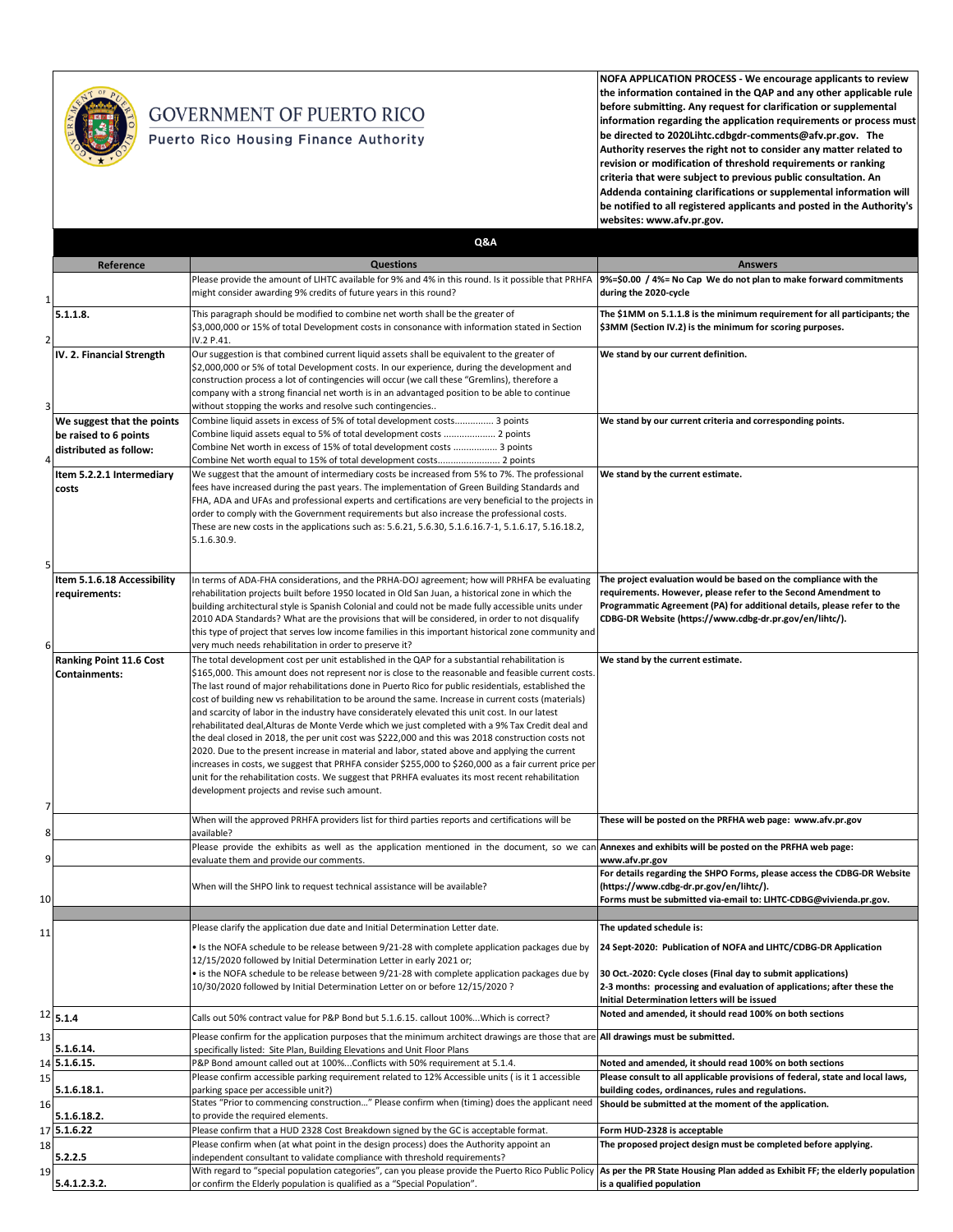

## GOVERNMENT OF PUERTO RICO

## Puerto Rico Housing Finance Authority

**NOFA APPLICATION PROCESS - We encourage applicants to review the information contained in the QAP and any other applicable rule before submitting. Any request for clarification or supplemental information regarding the application requirements or process must be directed to 2020Lihtc.cdbgdr-comments@afv.pr.gov. The Authority reserves the right not to consider any matter related to revision or modification of threshold requirements or ranking criteria that were subject to previous public consultation. An Addenda containing clarifications or supplemental information will be notified to all registered applicants and posted in the Authority's websites: www.afv.pr.gov.**

|    |                                                                               | Q&A                                                                                                                                                                                                                                                                                                                                                                                                                                                                                                                                                                                                                                                                                                                                                                                                                                                                                                                                                                                                                                                                                               |                                                                                                                                                                                                                                                                          |
|----|-------------------------------------------------------------------------------|---------------------------------------------------------------------------------------------------------------------------------------------------------------------------------------------------------------------------------------------------------------------------------------------------------------------------------------------------------------------------------------------------------------------------------------------------------------------------------------------------------------------------------------------------------------------------------------------------------------------------------------------------------------------------------------------------------------------------------------------------------------------------------------------------------------------------------------------------------------------------------------------------------------------------------------------------------------------------------------------------------------------------------------------------------------------------------------------------|--------------------------------------------------------------------------------------------------------------------------------------------------------------------------------------------------------------------------------------------------------------------------|
|    | Reference                                                                     | <b>Questions</b>                                                                                                                                                                                                                                                                                                                                                                                                                                                                                                                                                                                                                                                                                                                                                                                                                                                                                                                                                                                                                                                                                  | <b>Answers</b>                                                                                                                                                                                                                                                           |
| -1 |                                                                               | Please provide the amount of LIHTC available for 9% and 4% in this round. Is it possible that PRHFA<br>might consider awarding 9% credits of future years in this round?                                                                                                                                                                                                                                                                                                                                                                                                                                                                                                                                                                                                                                                                                                                                                                                                                                                                                                                          | 9%=\$0.00 / 4%= No Cap We do not plan to make forward commitments<br>during the 2020-cycle                                                                                                                                                                               |
|    | 5.1.1.8.                                                                      | This paragraph should be modified to combine net worth shall be the greater of<br>\$3,000,000 or 15% of total Development costs in consonance with information stated in Section<br>IV.2 P.41.                                                                                                                                                                                                                                                                                                                                                                                                                                                                                                                                                                                                                                                                                                                                                                                                                                                                                                    | The \$1MM on 5.1.1.8 is the minimum requirement for all participants; the<br>\$3MM (Section IV.2) is the minimum for scoring purposes.                                                                                                                                   |
| 3  | IV. 2. Financial Strength                                                     | Our suggestion is that combined current liquid assets shall be equivalent to the greater of<br>\$2,000,000 or 5% of total Development costs. In our experience, during the development and<br>construction process a lot of contingencies will occur (we call these "Gremlins), therefore a<br>company with a strong financial net worth is in an advantaged position to be able to continue<br>without stopping the works and resolve such contingencies                                                                                                                                                                                                                                                                                                                                                                                                                                                                                                                                                                                                                                         | We stand by our current definition.                                                                                                                                                                                                                                      |
| 4  | We suggest that the points<br>be raised to 6 points<br>distributed as follow: | Combine liquid assets in excess of 5% of total development costs 3 points<br>Combine liquid assets equal to 5% of total development costs  2 points<br>Combine Net worth in excess of 15% of total development costs  3 points<br>Combine Net worth equal to 15% of total development costs 2 points                                                                                                                                                                                                                                                                                                                                                                                                                                                                                                                                                                                                                                                                                                                                                                                              | We stand by our current criteria and corresponding points.                                                                                                                                                                                                               |
| 5  | Item 5.2.2.1 Intermediary<br>costs                                            | We suggest that the amount of intermediary costs be increased from 5% to 7%. The professional<br>fees have increased during the past years. The implementation of Green Building Standards and<br>FHA, ADA and UFAs and professional experts and certifications are very beneficial to the projects in<br>order to comply with the Government requirements but also increase the professional costs.<br>These are new costs in the applications such as: 5.6.21, 5.6.30, 5.1.6.16.7-1, 5.1.6.17, 5.16.18.2,<br>5.1.6.30.9.                                                                                                                                                                                                                                                                                                                                                                                                                                                                                                                                                                        | We stand by the current estimate.                                                                                                                                                                                                                                        |
| 6  | Item 5.1.6.18 Accessibility<br>requirements:                                  | In terms of ADA-FHA considerations, and the PRHA-DOJ agreement; how will PRHFA be evaluating<br>rehabilitation projects built before 1950 located in Old San Juan, a historical zone in which the<br>building architectural style is Spanish Colonial and could not be made fully accessible units under<br>2010 ADA Standards? What are the provisions that will be considered, in order to not disqualify<br>this type of project that serves low income families in this important historical zone community and<br>very much needs rehabilitation in order to preserve it?                                                                                                                                                                                                                                                                                                                                                                                                                                                                                                                    | The project evaluation would be based on the compliance with the<br>requirements. However, please refer to the Second Amendment to<br>Programmatic Agreement (PA) for additional details, please refer to the<br>CDBG-DR Website (https://www.cdbg-dr.pr.gov/en/lihtc/). |
| 7  | Ranking Point 11.6 Cost<br><b>Containments:</b>                               | The total development cost per unit established in the QAP for a substantial rehabilitation is<br>\$165,000. This amount does not represent nor is close to the reasonable and feasible current costs.<br>The last round of major rehabilitations done in Puerto Rico for public residentials, established the<br>cost of building new vs rehabilitation to be around the same. Increase in current costs (materials)<br>and scarcity of labor in the industry have considerately elevated this unit cost. In our latest<br>rehabilitated deal, Alturas de Monte Verde which we just completed with a 9% Tax Credit deal and<br>the deal closed in 2018, the per unit cost was \$222,000 and this was 2018 construction costs not<br>2020. Due to the present increase in material and labor, stated above and applying the current<br>increases in costs, we suggest that PRHFA consider \$255,000 to \$260,000 as a fair current price per<br>unit for the rehabilitation costs. We suggest that PRHFA evaluates its most recent rehabilitation<br>development projects and revise such amount. | We stand by the current estimate.                                                                                                                                                                                                                                        |
| 8  |                                                                               | When will the approved PRHFA providers list for third parties reports and certifications will be<br>available?                                                                                                                                                                                                                                                                                                                                                                                                                                                                                                                                                                                                                                                                                                                                                                                                                                                                                                                                                                                    | These will be posted on the PRFHA web page: www.afv.pr.gov                                                                                                                                                                                                               |
| 9  |                                                                               | Please provide the exhibits as well as the application mentioned in the document, so we can<br>evaluate them and provide our comments.                                                                                                                                                                                                                                                                                                                                                                                                                                                                                                                                                                                                                                                                                                                                                                                                                                                                                                                                                            | Annexes and exhibits will be posted on the PRFHA web page:<br>www.afv.pr.gov                                                                                                                                                                                             |
| 10 |                                                                               | When will the SHPO link to request technical assistance will be available?                                                                                                                                                                                                                                                                                                                                                                                                                                                                                                                                                                                                                                                                                                                                                                                                                                                                                                                                                                                                                        | For details regarding the SHPO Forms, please access the CDBG-DR Website<br>(https://www.cdbg-dr.pr.gov/en/lihtc/).<br>Forms must be submitted via-email to: LIHTC-CDBG@vivienda.pr.gov.                                                                                  |
|    |                                                                               | Please clarify the application due date and Initial Determination Letter date.                                                                                                                                                                                                                                                                                                                                                                                                                                                                                                                                                                                                                                                                                                                                                                                                                                                                                                                                                                                                                    | The updated schedule is:                                                                                                                                                                                                                                                 |
| 11 |                                                                               | • Is the NOFA schedule to be release between 9/21-28 with complete application packages due by<br>12/15/2020 followed by Initial Determination Letter in early 2021 or;<br>• is the NOFA schedule to be release between 9/21-28 with complete application packages due by<br>10/30/2020 followed by Initial Determination Letter on or before 12/15/2020 ?                                                                                                                                                                                                                                                                                                                                                                                                                                                                                                                                                                                                                                                                                                                                        | 24 Sept-2020: Publication of NOFA and LIHTC/CDBG-DR Application<br>30 Oct.-2020: Cycle closes (Final day to submit applications)<br>2-3 months: processing and evaluation of applications; after these the<br>Initial Determination letters will be issued               |
|    | $12$ 5.1.4                                                                    | Calls out 50% contract value for P&P Bond but 5.1.6.15. callout 100%Which is correct?                                                                                                                                                                                                                                                                                                                                                                                                                                                                                                                                                                                                                                                                                                                                                                                                                                                                                                                                                                                                             | Noted and amended, it should read 100% on both sections                                                                                                                                                                                                                  |
| 13 | 5.1.6.14.                                                                     | Please confirm for the application purposes that the minimum architect drawings are those that are<br>specifically listed: Site Plan, Building Elevations and Unit Floor Plans                                                                                                                                                                                                                                                                                                                                                                                                                                                                                                                                                                                                                                                                                                                                                                                                                                                                                                                    | All drawings must be submitted.                                                                                                                                                                                                                                          |
|    | 14 5.1.6.15.                                                                  | P&P Bond amount called out at 100%Conflicts with 50% requirement at 5.1.4.                                                                                                                                                                                                                                                                                                                                                                                                                                                                                                                                                                                                                                                                                                                                                                                                                                                                                                                                                                                                                        | Noted and amended, it should read 100% on both sections                                                                                                                                                                                                                  |
| 15 | 5.1.6.18.1.                                                                   | Please confirm accessible parking requirement related to 12% Accessible units ( is it 1 accessible<br>parking space per accessible unit?)                                                                                                                                                                                                                                                                                                                                                                                                                                                                                                                                                                                                                                                                                                                                                                                                                                                                                                                                                         | Please consult to all applicable provisions of federal, state and local laws,<br>building codes, ordinances, rules and regulations.                                                                                                                                      |
| 16 | 5.1.6.18.2.                                                                   | States "Prior to commencing construction" Please confirm when (timing) does the applicant need<br>to provide the required elements.                                                                                                                                                                                                                                                                                                                                                                                                                                                                                                                                                                                                                                                                                                                                                                                                                                                                                                                                                               | Should be submitted at the moment of the application.                                                                                                                                                                                                                    |
| 17 | 5.1.6.22                                                                      | Please confirm that a HUD 2328 Cost Breakdown signed by the GC is acceptable format.                                                                                                                                                                                                                                                                                                                                                                                                                                                                                                                                                                                                                                                                                                                                                                                                                                                                                                                                                                                                              | Form HUD-2328 is acceptable                                                                                                                                                                                                                                              |
| 18 |                                                                               | Please confirm when (at what point in the design process) does the Authority appoint an                                                                                                                                                                                                                                                                                                                                                                                                                                                                                                                                                                                                                                                                                                                                                                                                                                                                                                                                                                                                           | The proposed project design must be completed before applying.                                                                                                                                                                                                           |
| 19 | 5.2.2.5                                                                       | independent consultant to validate compliance with threshold requirements?<br>With regard to "special population categories", can you please provide the Puerto Rico Public Policy                                                                                                                                                                                                                                                                                                                                                                                                                                                                                                                                                                                                                                                                                                                                                                                                                                                                                                                | As per the PR State Housing Plan added as Exhibit FF; the elderly population                                                                                                                                                                                             |
|    | 5.4.1.2.3.2.                                                                  | or confirm the Elderly population is qualified as a "Special Population".                                                                                                                                                                                                                                                                                                                                                                                                                                                                                                                                                                                                                                                                                                                                                                                                                                                                                                                                                                                                                         | is a qualified population                                                                                                                                                                                                                                                |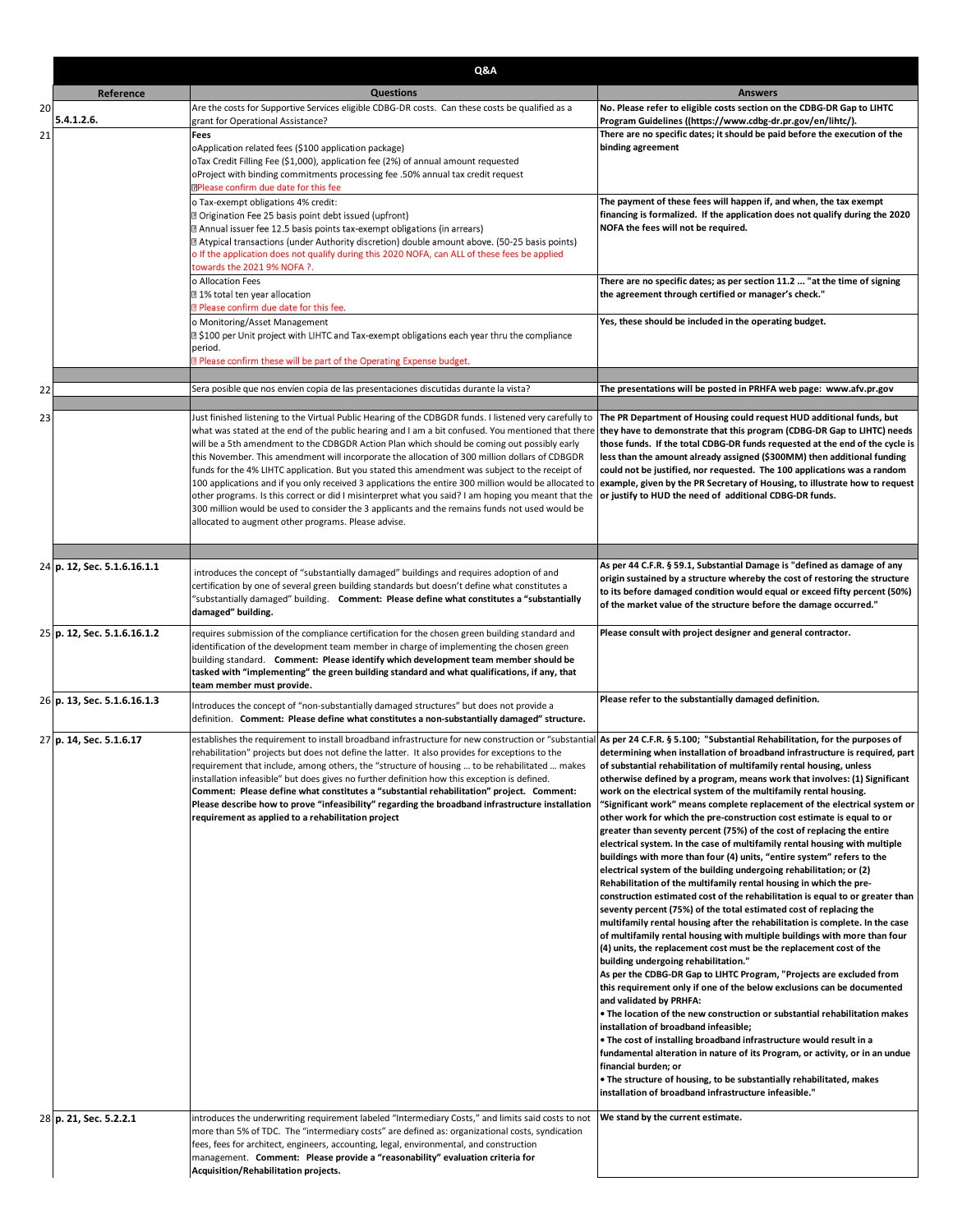|          | Q&A                         |                                                                                                                                                                                                                                                                                                                                                                                                                                                                                                                                                                                                                                                                                                                                                                                                                                                                                            |                                                                                                                                                                                                                                                                                                                                                                                                                                                                                                                                                                                                                                                                                                                                                                                                                                                                                                                                                                                                                                                                                                                                                                                                                                                                                                                                                                                                                                                                                                                                                                                                                                                                                                                                                                                                                                                                                                  |  |
|----------|-----------------------------|--------------------------------------------------------------------------------------------------------------------------------------------------------------------------------------------------------------------------------------------------------------------------------------------------------------------------------------------------------------------------------------------------------------------------------------------------------------------------------------------------------------------------------------------------------------------------------------------------------------------------------------------------------------------------------------------------------------------------------------------------------------------------------------------------------------------------------------------------------------------------------------------|--------------------------------------------------------------------------------------------------------------------------------------------------------------------------------------------------------------------------------------------------------------------------------------------------------------------------------------------------------------------------------------------------------------------------------------------------------------------------------------------------------------------------------------------------------------------------------------------------------------------------------------------------------------------------------------------------------------------------------------------------------------------------------------------------------------------------------------------------------------------------------------------------------------------------------------------------------------------------------------------------------------------------------------------------------------------------------------------------------------------------------------------------------------------------------------------------------------------------------------------------------------------------------------------------------------------------------------------------------------------------------------------------------------------------------------------------------------------------------------------------------------------------------------------------------------------------------------------------------------------------------------------------------------------------------------------------------------------------------------------------------------------------------------------------------------------------------------------------------------------------------------------------|--|
|          | Reference                   | <b>Questions</b>                                                                                                                                                                                                                                                                                                                                                                                                                                                                                                                                                                                                                                                                                                                                                                                                                                                                           | <b>Answers</b>                                                                                                                                                                                                                                                                                                                                                                                                                                                                                                                                                                                                                                                                                                                                                                                                                                                                                                                                                                                                                                                                                                                                                                                                                                                                                                                                                                                                                                                                                                                                                                                                                                                                                                                                                                                                                                                                                   |  |
| 20<br>21 | 5.4.1.2.6.                  | Are the costs for Supportive Services eligible CDBG-DR costs. Can these costs be qualified as a<br>grant for Operational Assistance?<br>Fees<br>oApplication related fees (\$100 application package)<br>oTax Credit Filling Fee (\$1,000), application fee (2%) of annual amount requested<br>oProject with binding commitments processing fee .50% annual tax credit request<br><b>DPlease confirm due date for this fee</b>                                                                                                                                                                                                                                                                                                                                                                                                                                                             | No. Please refer to eligible costs section on the CDBG-DR Gap to LIHTC<br>Program Guidelines ((https://www.cdbg-dr.pr.gov/en/lihtc/).<br>There are no specific dates; it should be paid before the execution of the<br>binding agreement                                                                                                                                                                                                                                                                                                                                                                                                                                                                                                                                                                                                                                                                                                                                                                                                                                                                                                                                                                                                                                                                                                                                                                                                                                                                                                                                                                                                                                                                                                                                                                                                                                                         |  |
|          |                             | o Tax-exempt obligations 4% credit:<br>7 Origination Fee 25 basis point debt issued (upfront)<br>[2] Annual issuer fee 12.5 basis points tax-exempt obligations (in arrears)<br>[2] Atypical transactions (under Authority discretion) double amount above. (50-25 basis points)<br>o If the application does not qualify during this 2020 NOFA, can ALL of these fees be applied<br>towards the 2021 9% NOFA ?.                                                                                                                                                                                                                                                                                                                                                                                                                                                                           | The payment of these fees will happen if, and when, the tax exempt<br>financing is formalized. If the application does not qualify during the 2020<br>NOFA the fees will not be required.                                                                                                                                                                                                                                                                                                                                                                                                                                                                                                                                                                                                                                                                                                                                                                                                                                                                                                                                                                                                                                                                                                                                                                                                                                                                                                                                                                                                                                                                                                                                                                                                                                                                                                        |  |
|          |                             | o Allocation Fees<br>7 1% total ten year allocation<br><b>Please confirm due date for this fee.</b>                                                                                                                                                                                                                                                                                                                                                                                                                                                                                                                                                                                                                                                                                                                                                                                        | There are no specific dates; as per section 11.2  "at the time of signing<br>the agreement through certified or manager's check."                                                                                                                                                                                                                                                                                                                                                                                                                                                                                                                                                                                                                                                                                                                                                                                                                                                                                                                                                                                                                                                                                                                                                                                                                                                                                                                                                                                                                                                                                                                                                                                                                                                                                                                                                                |  |
|          |                             | o Monitoring/Asset Management<br><b>D</b> \$100 per Unit project with LIHTC and Tax-exempt obligations each year thru the compliance<br>period.<br><b>2</b> Please confirm these will be part of the Operating Expense budget.                                                                                                                                                                                                                                                                                                                                                                                                                                                                                                                                                                                                                                                             | Yes, these should be included in the operating budget.                                                                                                                                                                                                                                                                                                                                                                                                                                                                                                                                                                                                                                                                                                                                                                                                                                                                                                                                                                                                                                                                                                                                                                                                                                                                                                                                                                                                                                                                                                                                                                                                                                                                                                                                                                                                                                           |  |
|          |                             |                                                                                                                                                                                                                                                                                                                                                                                                                                                                                                                                                                                                                                                                                                                                                                                                                                                                                            |                                                                                                                                                                                                                                                                                                                                                                                                                                                                                                                                                                                                                                                                                                                                                                                                                                                                                                                                                                                                                                                                                                                                                                                                                                                                                                                                                                                                                                                                                                                                                                                                                                                                                                                                                                                                                                                                                                  |  |
| 22       |                             | Sera posible que nos envíen copia de las presentaciones discutidas durante la vista?                                                                                                                                                                                                                                                                                                                                                                                                                                                                                                                                                                                                                                                                                                                                                                                                       | The presentations will be posted in PRHFA web page: www.afv.pr.gov                                                                                                                                                                                                                                                                                                                                                                                                                                                                                                                                                                                                                                                                                                                                                                                                                                                                                                                                                                                                                                                                                                                                                                                                                                                                                                                                                                                                                                                                                                                                                                                                                                                                                                                                                                                                                               |  |
| 23       |                             | Just finished listening to the Virtual Public Hearing of the CDBGDR funds. I listened very carefully to<br>what was stated at the end of the public hearing and I am a bit confused. You mentioned that there<br>will be a 5th amendment to the CDBGDR Action Plan which should be coming out possibly early<br>this November. This amendment will incorporate the allocation of 300 million dollars of CDBGDR<br>funds for the 4% LIHTC application. But you stated this amendment was subject to the receipt of<br>100 applications and if you only received 3 applications the entire 300 million would be allocated to<br>other programs. Is this correct or did I misinterpret what you said? I am hoping you meant that the<br>300 million would be used to consider the 3 applicants and the remains funds not used would be<br>allocated to augment other programs. Please advise. | The PR Department of Housing could request HUD additional funds, but<br>they have to demonstrate that this program (CDBG-DR Gap to LIHTC) needs<br>those funds. If the total CDBG-DR funds requested at the end of the cycle is<br>less than the amount already assigned (\$300MM) then additional funding<br>could not be justified, nor requested. The 100 applications was a random<br>example, given by the PR Secretary of Housing, to illustrate how to request<br>or justify to HUD the need of additional CDBG-DR funds.                                                                                                                                                                                                                                                                                                                                                                                                                                                                                                                                                                                                                                                                                                                                                                                                                                                                                                                                                                                                                                                                                                                                                                                                                                                                                                                                                                 |  |
|          | 24 p. 12, Sec. 5.1.6.16.1.1 |                                                                                                                                                                                                                                                                                                                                                                                                                                                                                                                                                                                                                                                                                                                                                                                                                                                                                            | As per 44 C.F.R. § 59.1, Substantial Damage is "defined as damage of any                                                                                                                                                                                                                                                                                                                                                                                                                                                                                                                                                                                                                                                                                                                                                                                                                                                                                                                                                                                                                                                                                                                                                                                                                                                                                                                                                                                                                                                                                                                                                                                                                                                                                                                                                                                                                         |  |
|          |                             | introduces the concept of "substantially damaged" buildings and requires adoption of and<br>certification by one of several green building standards but doesn't define what constitutes a<br>"substantially damaged" building.  Comment: Please define what constitutes a "substantially<br>damaged" building.                                                                                                                                                                                                                                                                                                                                                                                                                                                                                                                                                                            | origin sustained by a structure whereby the cost of restoring the structure<br>to its before damaged condition would equal or exceed fifty percent (50%)<br>of the market value of the structure before the damage occurred."                                                                                                                                                                                                                                                                                                                                                                                                                                                                                                                                                                                                                                                                                                                                                                                                                                                                                                                                                                                                                                                                                                                                                                                                                                                                                                                                                                                                                                                                                                                                                                                                                                                                    |  |
|          | 25 p. 12, Sec. 5.1.6.16.1.2 | requires submission of the compliance certification for the chosen green building standard and<br>identification of the development team member in charge of implementing the chosen green<br>building standard. Comment: Please identify which development team member should be<br>tasked with "implementing" the green building standard and what qualifications, if any, that<br>team member must provide.                                                                                                                                                                                                                                                                                                                                                                                                                                                                             | Please consult with project designer and general contractor.                                                                                                                                                                                                                                                                                                                                                                                                                                                                                                                                                                                                                                                                                                                                                                                                                                                                                                                                                                                                                                                                                                                                                                                                                                                                                                                                                                                                                                                                                                                                                                                                                                                                                                                                                                                                                                     |  |
|          | 26 p. 13, Sec. 5.1.6.16.1.3 | Introduces the concept of "non-substantially damaged structures" but does not provide a<br>definition. Comment: Please define what constitutes a non-substantially damaged" structure.                                                                                                                                                                                                                                                                                                                                                                                                                                                                                                                                                                                                                                                                                                     | Please refer to the substantially damaged definition.                                                                                                                                                                                                                                                                                                                                                                                                                                                                                                                                                                                                                                                                                                                                                                                                                                                                                                                                                                                                                                                                                                                                                                                                                                                                                                                                                                                                                                                                                                                                                                                                                                                                                                                                                                                                                                            |  |
|          | 27 p. 14, Sec. 5.1.6.17     | establishes the requirement to install broadband infrastructure for new construction or "substantial As per 24 C.F.R. § 5.100; "Substantial Rehabilitation, for the purposes of<br>rehabilitation" projects but does not define the latter. It also provides for exceptions to the<br>requirement that include, among others, the "structure of housing  to be rehabilitated  makes<br>installation infeasible" but does gives no further definition how this exception is defined.<br>Comment: Please define what constitutes a "substantial rehabilitation" project. Comment:<br>Please describe how to prove "infeasibility" regarding the broadband infrastructure installation<br>requirement as applied to a rehabilitation project                                                                                                                                                  | determining when installation of broadband infrastructure is required, part<br>of substantial rehabilitation of multifamily rental housing, unless<br>otherwise defined by a program, means work that involves: (1) Significant<br>work on the electrical system of the multifamily rental housing.<br>"Significant work" means complete replacement of the electrical system or<br>other work for which the pre-construction cost estimate is equal to or<br>greater than seventy percent (75%) of the cost of replacing the entire<br>electrical system. In the case of multifamily rental housing with multiple<br>buildings with more than four (4) units, "entire system" refers to the<br>electrical system of the building undergoing rehabilitation; or (2)<br>Rehabilitation of the multifamily rental housing in which the pre-<br>construction estimated cost of the rehabilitation is equal to or greater than<br>seventy percent (75%) of the total estimated cost of replacing the<br>multifamily rental housing after the rehabilitation is complete. In the case<br>of multifamily rental housing with multiple buildings with more than four<br>(4) units, the replacement cost must be the replacement cost of the<br>building undergoing rehabilitation."<br>As per the CDBG-DR Gap to LIHTC Program, "Projects are excluded from<br>this requirement only if one of the below exclusions can be documented<br>and validated by PRHFA:<br>. The location of the new construction or substantial rehabilitation makes<br>installation of broadband infeasible;<br>. The cost of installing broadband infrastructure would result in a<br>fundamental alteration in nature of its Program, or activity, or in an undue<br>financial burden; or<br>. The structure of housing, to be substantially rehabilitated, makes<br>installation of broadband infrastructure infeasible." |  |
|          | 28 p. 21, Sec. 5.2.2.1      | introduces the underwriting requirement labeled "Intermediary Costs," and limits said costs to not<br>more than 5% of TDC. The "intermediary costs" are defined as: organizational costs, syndication<br>fees, fees for architect, engineers, accounting, legal, environmental, and construction<br>management. Comment: Please provide a "reasonability" evaluation criteria for<br>Acquisition/Rehabilitation projects.                                                                                                                                                                                                                                                                                                                                                                                                                                                                  | We stand by the current estimate.                                                                                                                                                                                                                                                                                                                                                                                                                                                                                                                                                                                                                                                                                                                                                                                                                                                                                                                                                                                                                                                                                                                                                                                                                                                                                                                                                                                                                                                                                                                                                                                                                                                                                                                                                                                                                                                                |  |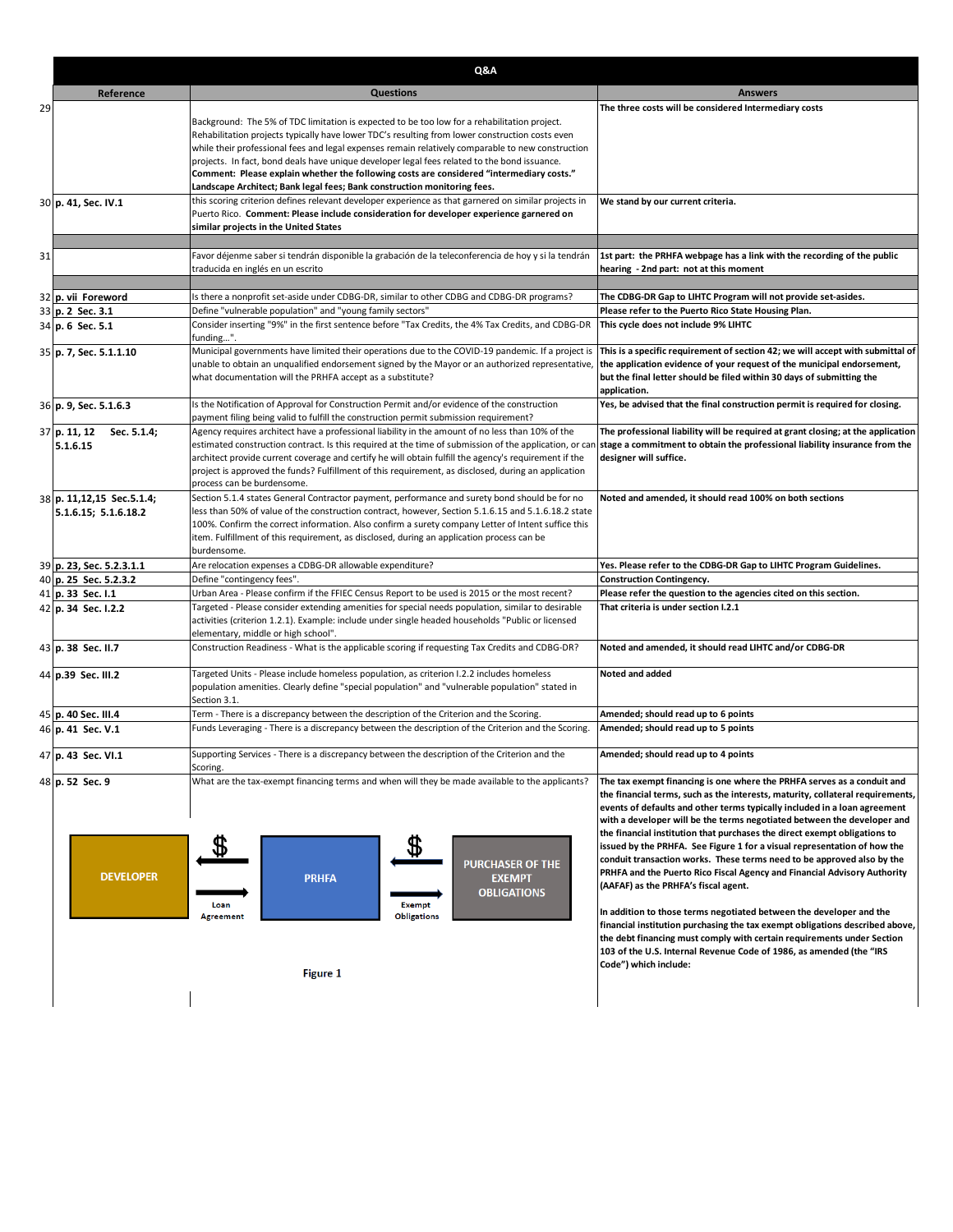| Q&A                                               |                                                                                                                                                                                                                                                                                                                                                                                                                                                                                                                                                                              |                                                                                                                                                                                                                                                                                                                                                                                                                                                                                                                                                                                                                                                                                                                                                                                                                                                                                                                                                                                                           |  |
|---------------------------------------------------|------------------------------------------------------------------------------------------------------------------------------------------------------------------------------------------------------------------------------------------------------------------------------------------------------------------------------------------------------------------------------------------------------------------------------------------------------------------------------------------------------------------------------------------------------------------------------|-----------------------------------------------------------------------------------------------------------------------------------------------------------------------------------------------------------------------------------------------------------------------------------------------------------------------------------------------------------------------------------------------------------------------------------------------------------------------------------------------------------------------------------------------------------------------------------------------------------------------------------------------------------------------------------------------------------------------------------------------------------------------------------------------------------------------------------------------------------------------------------------------------------------------------------------------------------------------------------------------------------|--|
| Reference                                         | <b>Questions</b>                                                                                                                                                                                                                                                                                                                                                                                                                                                                                                                                                             | <b>Answers</b>                                                                                                                                                                                                                                                                                                                                                                                                                                                                                                                                                                                                                                                                                                                                                                                                                                                                                                                                                                                            |  |
| 29                                                | Background: The 5% of TDC limitation is expected to be too low for a rehabilitation project.<br>Rehabilitation projects typically have lower TDC's resulting from lower construction costs even<br>while their professional fees and legal expenses remain relatively comparable to new construction<br>projects. In fact, bond deals have unique developer legal fees related to the bond issuance.<br>Comment: Please explain whether the following costs are considered "intermediary costs."<br>Landscape Architect; Bank legal fees; Bank construction monitoring fees. | The three costs will be considered Intermediary costs                                                                                                                                                                                                                                                                                                                                                                                                                                                                                                                                                                                                                                                                                                                                                                                                                                                                                                                                                     |  |
| 30 p. 41, Sec. IV.1                               | this scoring criterion defines relevant developer experience as that garnered on similar projects in<br>Puerto Rico. Comment: Please include consideration for developer experience garnered on<br>similar projects in the United States                                                                                                                                                                                                                                                                                                                                     | We stand by our current criteria.                                                                                                                                                                                                                                                                                                                                                                                                                                                                                                                                                                                                                                                                                                                                                                                                                                                                                                                                                                         |  |
| 31                                                | Favor déjenme saber si tendrán disponible la grabación de la teleconferencia de hoy y si la tendrán<br>traducida en inglés en un escrito                                                                                                                                                                                                                                                                                                                                                                                                                                     | 1st part: the PRHFA webpage has a link with the recording of the public<br>hearing - 2nd part: not at this moment                                                                                                                                                                                                                                                                                                                                                                                                                                                                                                                                                                                                                                                                                                                                                                                                                                                                                         |  |
| 32 p. vii Foreword<br>33 p. 2 Sec. 3.1            | Is there a nonprofit set-aside under CDBG-DR, similar to other CDBG and CDBG-DR programs?<br>Define "vulnerable population" and "young family sectors"                                                                                                                                                                                                                                                                                                                                                                                                                       | The CDBG-DR Gap to LIHTC Program will not provide set-asides.<br>Please refer to the Puerto Rico State Housing Plan.                                                                                                                                                                                                                                                                                                                                                                                                                                                                                                                                                                                                                                                                                                                                                                                                                                                                                      |  |
| 34 p. 6 Sec. 5.1                                  | Consider inserting "9%" in the first sentence before "Tax Credits, the 4% Tax Credits, and CDBG-DR<br>funding".                                                                                                                                                                                                                                                                                                                                                                                                                                                              | This cycle does not include 9% LIHTC                                                                                                                                                                                                                                                                                                                                                                                                                                                                                                                                                                                                                                                                                                                                                                                                                                                                                                                                                                      |  |
| 35 p. 7, Sec. 5.1.1.10                            | Municipal governments have limited their operations due to the COVID-19 pandemic. If a project is<br>unable to obtain an unqualified endorsement signed by the Mayor or an authorized representative,<br>what documentation will the PRHFA accept as a substitute?                                                                                                                                                                                                                                                                                                           | This is a specific requirement of section 42; we will accept with submittal of<br>the application evidence of your request of the municipal endorsement,<br>but the final letter should be filed within 30 days of submitting the<br>application.                                                                                                                                                                                                                                                                                                                                                                                                                                                                                                                                                                                                                                                                                                                                                         |  |
| 36 p. 9, Sec. 5.1.6.3                             | Is the Notification of Approval for Construction Permit and/or evidence of the construction<br>payment filing being valid to fulfill the construction permit submission requirement?                                                                                                                                                                                                                                                                                                                                                                                         | Yes, be advised that the final construction permit is required for closing.                                                                                                                                                                                                                                                                                                                                                                                                                                                                                                                                                                                                                                                                                                                                                                                                                                                                                                                               |  |
| 37 p. 11, 12<br>Sec. 5.1.4;<br>5.1.6.15           | Agency requires architect have a professional liability in the amount of no less than 10% of the<br>estimated construction contract. Is this required at the time of submission of the application, or can<br>architect provide current coverage and certify he will obtain fulfill the agency's requirement if the<br>project is approved the funds? Fulfillment of this requirement, as disclosed, during an application<br>process can be burdensome.                                                                                                                     | The professional liability will be required at grant closing; at the application<br>stage a commitment to obtain the professional liability insurance from the<br>designer will suffice.                                                                                                                                                                                                                                                                                                                                                                                                                                                                                                                                                                                                                                                                                                                                                                                                                  |  |
| 38 p. 11,12,15 Sec.5.1.4;<br>5.1.6.15; 5.1.6.18.2 | Section 5.1.4 states General Contractor payment, performance and surety bond should be for no<br>less than 50% of value of the construction contract, however, Section 5.1.6.15 and 5.1.6.18.2 state<br>100%. Confirm the correct information. Also confirm a surety company Letter of Intent suffice this<br>item. Fulfillment of this requirement, as disclosed, during an application process can be<br>burdensome.                                                                                                                                                       | Noted and amended, it should read 100% on both sections                                                                                                                                                                                                                                                                                                                                                                                                                                                                                                                                                                                                                                                                                                                                                                                                                                                                                                                                                   |  |
| 39 p. 23, Sec. 5.2.3.1.1                          | Are relocation expenses a CDBG-DR allowable expenditure?                                                                                                                                                                                                                                                                                                                                                                                                                                                                                                                     | Yes. Please refer to the CDBG-DR Gap to LIHTC Program Guidelines.                                                                                                                                                                                                                                                                                                                                                                                                                                                                                                                                                                                                                                                                                                                                                                                                                                                                                                                                         |  |
| 40 p. 25 Sec. 5.2.3.2                             | Define "contingency fees".<br>Urban Area - Please confirm if the FFIEC Census Report to be used is 2015 or the most recent?                                                                                                                                                                                                                                                                                                                                                                                                                                                  | Construction Contingency.<br>Please refer the question to the agencies cited on this section.                                                                                                                                                                                                                                                                                                                                                                                                                                                                                                                                                                                                                                                                                                                                                                                                                                                                                                             |  |
| 41 p. 33 Sec. I.1<br>42 p. 34 Sec. I.2.2          | Targeted - Please consider extending amenities for special needs population, similar to desirable<br>activities (criterion 1.2.1). Example: include under single headed households "Public or licensed<br>elementary, middle or high school".                                                                                                                                                                                                                                                                                                                                | That criteria is under section I.2.1                                                                                                                                                                                                                                                                                                                                                                                                                                                                                                                                                                                                                                                                                                                                                                                                                                                                                                                                                                      |  |
| 43 p. 38 Sec. II.7                                | Construction Readiness - What is the applicable scoring if requesting Tax Credits and CDBG-DR?                                                                                                                                                                                                                                                                                                                                                                                                                                                                               | Noted and amended, it should read LIHTC and/or CDBG-DR                                                                                                                                                                                                                                                                                                                                                                                                                                                                                                                                                                                                                                                                                                                                                                                                                                                                                                                                                    |  |
| 44 p.39 Sec. III.2                                | Targeted Units - Please include homeless population, as criterion I.2.2 includes homeless<br>population amenities. Clearly define "special population" and "vulnerable population" stated in<br>Section 3.1.                                                                                                                                                                                                                                                                                                                                                                 | Noted and added                                                                                                                                                                                                                                                                                                                                                                                                                                                                                                                                                                                                                                                                                                                                                                                                                                                                                                                                                                                           |  |
| 45 p. 40 Sec. III.4<br>46 p. 41 Sec. V.1          | Term - There is a discrepancy between the description of the Criterion and the Scoring.<br>Funds Leveraging - There is a discrepancy between the description of the Criterion and the Scoring.                                                                                                                                                                                                                                                                                                                                                                               | Amended; should read up to 6 points<br>Amended; should read up to 5 points                                                                                                                                                                                                                                                                                                                                                                                                                                                                                                                                                                                                                                                                                                                                                                                                                                                                                                                                |  |
| 47 p. 43 Sec. VI.1                                | Supporting Services - There is a discrepancy between the description of the Criterion and the<br>Scoring.                                                                                                                                                                                                                                                                                                                                                                                                                                                                    | Amended; should read up to 4 points                                                                                                                                                                                                                                                                                                                                                                                                                                                                                                                                                                                                                                                                                                                                                                                                                                                                                                                                                                       |  |
| 48 p. 52 Sec. 9<br><b>DEVELOPER</b>               | What are the tax-exempt financing terms and when will they be made available to the applicants?<br>\$<br><b>PURCHASER OF THE</b><br><b>PRHFA</b><br><b>EXEMPT</b><br><b>OBLIGATIONS</b><br><b>Exempt</b><br>Loan<br><b>Obligations</b><br><b>Agreement</b>                                                                                                                                                                                                                                                                                                                   | The tax exempt financing is one where the PRHFA serves as a conduit and<br>the financial terms, such as the interests, maturity, collateral requirements,<br>events of defaults and other terms typically included in a loan agreement<br>with a developer will be the terms negotiated between the developer and<br>the financial institution that purchases the direct exempt obligations to<br>issued by the PRHFA. See Figure 1 for a visual representation of how the<br>conduit transaction works. These terms need to be approved also by the<br>PRHFA and the Puerto Rico Fiscal Agency and Financial Advisory Authority<br>(AAFAF) as the PRHFA's fiscal agent.<br>In addition to those terms negotiated between the developer and the<br>financial institution purchasing the tax exempt obligations described above,<br>the debt financing must comply with certain requirements under Section<br>103 of the U.S. Internal Revenue Code of 1986, as amended (the "IRS<br>Code") which include: |  |
|                                                   | <b>Figure 1</b>                                                                                                                                                                                                                                                                                                                                                                                                                                                                                                                                                              |                                                                                                                                                                                                                                                                                                                                                                                                                                                                                                                                                                                                                                                                                                                                                                                                                                                                                                                                                                                                           |  |
|                                                   |                                                                                                                                                                                                                                                                                                                                                                                                                                                                                                                                                                              |                                                                                                                                                                                                                                                                                                                                                                                                                                                                                                                                                                                                                                                                                                                                                                                                                                                                                                                                                                                                           |  |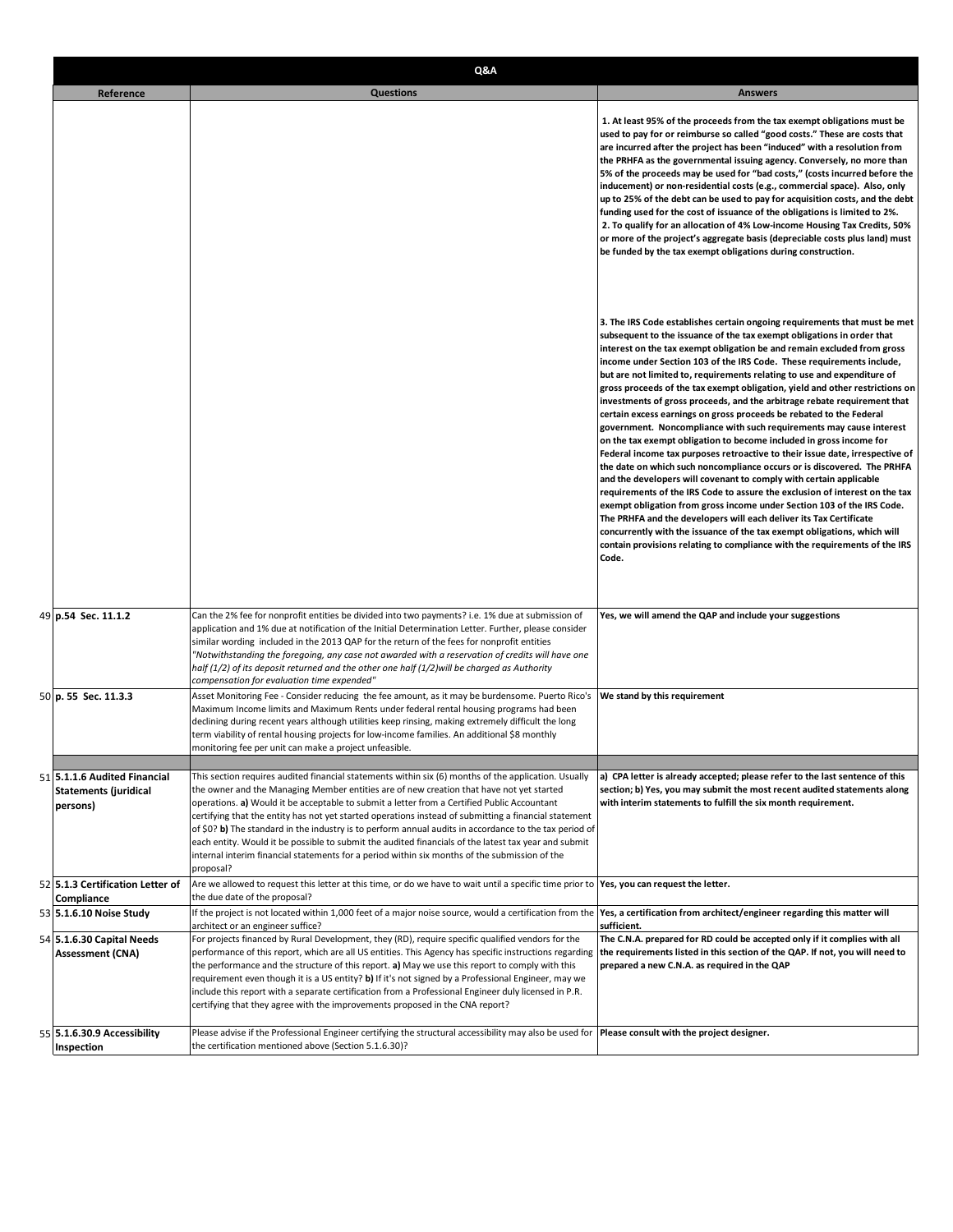| Q&A                                                                      |                                                                                                                                                                                                                                                                                                                                                                                                                                                                                                                                                                                                                                                                                                                                          |                                                                                                                                                                                                                                                                                                                                                                                                                                                                                                                                                                                                                                                                                                                                                                                                                                                                                                                                                                                                                                                                                                                                                                                                                                                                                                                                                                                                        |
|--------------------------------------------------------------------------|------------------------------------------------------------------------------------------------------------------------------------------------------------------------------------------------------------------------------------------------------------------------------------------------------------------------------------------------------------------------------------------------------------------------------------------------------------------------------------------------------------------------------------------------------------------------------------------------------------------------------------------------------------------------------------------------------------------------------------------|--------------------------------------------------------------------------------------------------------------------------------------------------------------------------------------------------------------------------------------------------------------------------------------------------------------------------------------------------------------------------------------------------------------------------------------------------------------------------------------------------------------------------------------------------------------------------------------------------------------------------------------------------------------------------------------------------------------------------------------------------------------------------------------------------------------------------------------------------------------------------------------------------------------------------------------------------------------------------------------------------------------------------------------------------------------------------------------------------------------------------------------------------------------------------------------------------------------------------------------------------------------------------------------------------------------------------------------------------------------------------------------------------------|
| Reference                                                                | <b>Questions</b>                                                                                                                                                                                                                                                                                                                                                                                                                                                                                                                                                                                                                                                                                                                         | <b>Answers</b>                                                                                                                                                                                                                                                                                                                                                                                                                                                                                                                                                                                                                                                                                                                                                                                                                                                                                                                                                                                                                                                                                                                                                                                                                                                                                                                                                                                         |
|                                                                          |                                                                                                                                                                                                                                                                                                                                                                                                                                                                                                                                                                                                                                                                                                                                          | 1. At least 95% of the proceeds from the tax exempt obligations must be<br>used to pay for or reimburse so called "good costs." These are costs that<br>are incurred after the project has been "induced" with a resolution from<br>the PRHFA as the governmental issuing agency. Conversely, no more than<br>5% of the proceeds may be used for "bad costs," (costs incurred before the<br>inducement) or non-residential costs (e.g., commercial space). Also, only<br>up to 25% of the debt can be used to pay for acquisition costs, and the debt<br>funding used for the cost of issuance of the obligations is limited to 2%.<br>2. To qualify for an allocation of 4% Low-income Housing Tax Credits, 50%<br>or more of the project's aggregate basis (depreciable costs plus land) must<br>be funded by the tax exempt obligations during construction.                                                                                                                                                                                                                                                                                                                                                                                                                                                                                                                                        |
|                                                                          |                                                                                                                                                                                                                                                                                                                                                                                                                                                                                                                                                                                                                                                                                                                                          | 3. The IRS Code establishes certain ongoing requirements that must be met<br>subsequent to the issuance of the tax exempt obligations in order that<br>interest on the tax exempt obligation be and remain excluded from gross<br>income under Section 103 of the IRS Code. These requirements include,<br>but are not limited to, requirements relating to use and expenditure of<br>gross proceeds of the tax exempt obligation, yield and other restrictions on<br>investments of gross proceeds, and the arbitrage rebate requirement that<br>certain excess earnings on gross proceeds be rebated to the Federal<br>government. Noncompliance with such requirements may cause interest<br>on the tax exempt obligation to become included in gross income for<br>Federal income tax purposes retroactive to their issue date, irrespective of<br>the date on which such noncompliance occurs or is discovered. The PRHFA<br>and the developers will covenant to comply with certain applicable<br>requirements of the IRS Code to assure the exclusion of interest on the tax<br>exempt obligation from gross income under Section 103 of the IRS Code.<br>The PRHFA and the developers will each deliver its Tax Certificate<br>concurrently with the issuance of the tax exempt obligations, which will<br>contain provisions relating to compliance with the requirements of the IRS<br>Code. |
| 49 p.54 Sec. 11.1.2                                                      | Can the 2% fee for nonprofit entities be divided into two payments? i.e. 1% due at submission of<br>application and 1% due at notification of the Initial Determination Letter. Further, please consider<br>similar wording included in the 2013 QAP for the return of the fees for nonprofit entities<br>"Notwithstanding the foregoing, any case not awarded with a reservation of credits will have one<br>half (1/2) of its deposit returned and the other one half (1/2) will be charged as Authority<br>compensation for evaluation time expended"                                                                                                                                                                                 | Yes, we will amend the QAP and include your suggestions                                                                                                                                                                                                                                                                                                                                                                                                                                                                                                                                                                                                                                                                                                                                                                                                                                                                                                                                                                                                                                                                                                                                                                                                                                                                                                                                                |
| 50 p. 55 Sec. 11.3.3                                                     | Asset Monitoring Fee - Consider reducing the fee amount, as it may be burdensome. Puerto Rico's<br>Maximum Income limits and Maximum Rents under federal rental housing programs had been<br>declining during recent years although utilities keep rinsing, making extremely difficult the long<br>term viability of rental housing projects for low-income families. An additional \$8 monthly<br>monitoring fee per unit can make a project unfeasible.                                                                                                                                                                                                                                                                                | We stand by this requirement                                                                                                                                                                                                                                                                                                                                                                                                                                                                                                                                                                                                                                                                                                                                                                                                                                                                                                                                                                                                                                                                                                                                                                                                                                                                                                                                                                           |
| 51 5.1.1.6 Audited Financial<br><b>Statements (juridical</b><br>persons) | This section requires audited financial statements within six (6) months of the application. Usually<br>the owner and the Managing Member entities are of new creation that have not yet started<br>operations. a) Would it be acceptable to submit a letter from a Certified Public Accountant<br>certifying that the entity has not yet started operations instead of submitting a financial statement<br>of \$0? b) The standard in the industry is to perform annual audits in accordance to the tax period of<br>each entity. Would it be possible to submit the audited financials of the latest tax year and submit<br>internal interim financial statements for a period within six months of the submission of the<br>proposal? | a) CPA letter is already accepted; please refer to the last sentence of this<br>section; b) Yes, you may submit the most recent audited statements along<br>with interim statements to fulfill the six month requirement.                                                                                                                                                                                                                                                                                                                                                                                                                                                                                                                                                                                                                                                                                                                                                                                                                                                                                                                                                                                                                                                                                                                                                                              |
| 52 5.1.3 Certification Letter of                                         | Are we allowed to request this letter at this time, or do we have to wait until a specific time prior to Yes, you can request the letter.                                                                                                                                                                                                                                                                                                                                                                                                                                                                                                                                                                                                |                                                                                                                                                                                                                                                                                                                                                                                                                                                                                                                                                                                                                                                                                                                                                                                                                                                                                                                                                                                                                                                                                                                                                                                                                                                                                                                                                                                                        |
| Compliance<br>53 5.1.6.10 Noise Study                                    | the due date of the proposal?<br>If the project is not located within 1,000 feet of a major noise source, would a certification from the Yes, a certification from architect/engineer regarding this matter will                                                                                                                                                                                                                                                                                                                                                                                                                                                                                                                         |                                                                                                                                                                                                                                                                                                                                                                                                                                                                                                                                                                                                                                                                                                                                                                                                                                                                                                                                                                                                                                                                                                                                                                                                                                                                                                                                                                                                        |
| 54 5.1.6.30 Capital Needs<br><b>Assessment (CNA)</b>                     | architect or an engineer suffice?<br>For projects financed by Rural Development, they (RD), require specific qualified vendors for the<br>performance of this report, which are all US entities. This Agency has specific instructions regarding<br>the performance and the structure of this report. a) May we use this report to comply with this<br>requirement even though it is a US entity? b) If it's not signed by a Professional Engineer, may we<br>include this report with a separate certification from a Professional Engineer duly licensed in P.R.<br>certifying that they agree with the improvements proposed in the CNA report?                                                                                       | sufficient.<br>The C.N.A. prepared for RD could be accepted only if it complies with all<br>the requirements listed in this section of the QAP. If not, you will need to<br>prepared a new C.N.A. as required in the QAP                                                                                                                                                                                                                                                                                                                                                                                                                                                                                                                                                                                                                                                                                                                                                                                                                                                                                                                                                                                                                                                                                                                                                                               |
| 55 5.1.6.30.9 Accessibility<br>Inspection                                | Please advise if the Professional Engineer certifying the structural accessibility may also be used for Please consult with the project designer.<br>the certification mentioned above (Section 5.1.6.30)?                                                                                                                                                                                                                                                                                                                                                                                                                                                                                                                               |                                                                                                                                                                                                                                                                                                                                                                                                                                                                                                                                                                                                                                                                                                                                                                                                                                                                                                                                                                                                                                                                                                                                                                                                                                                                                                                                                                                                        |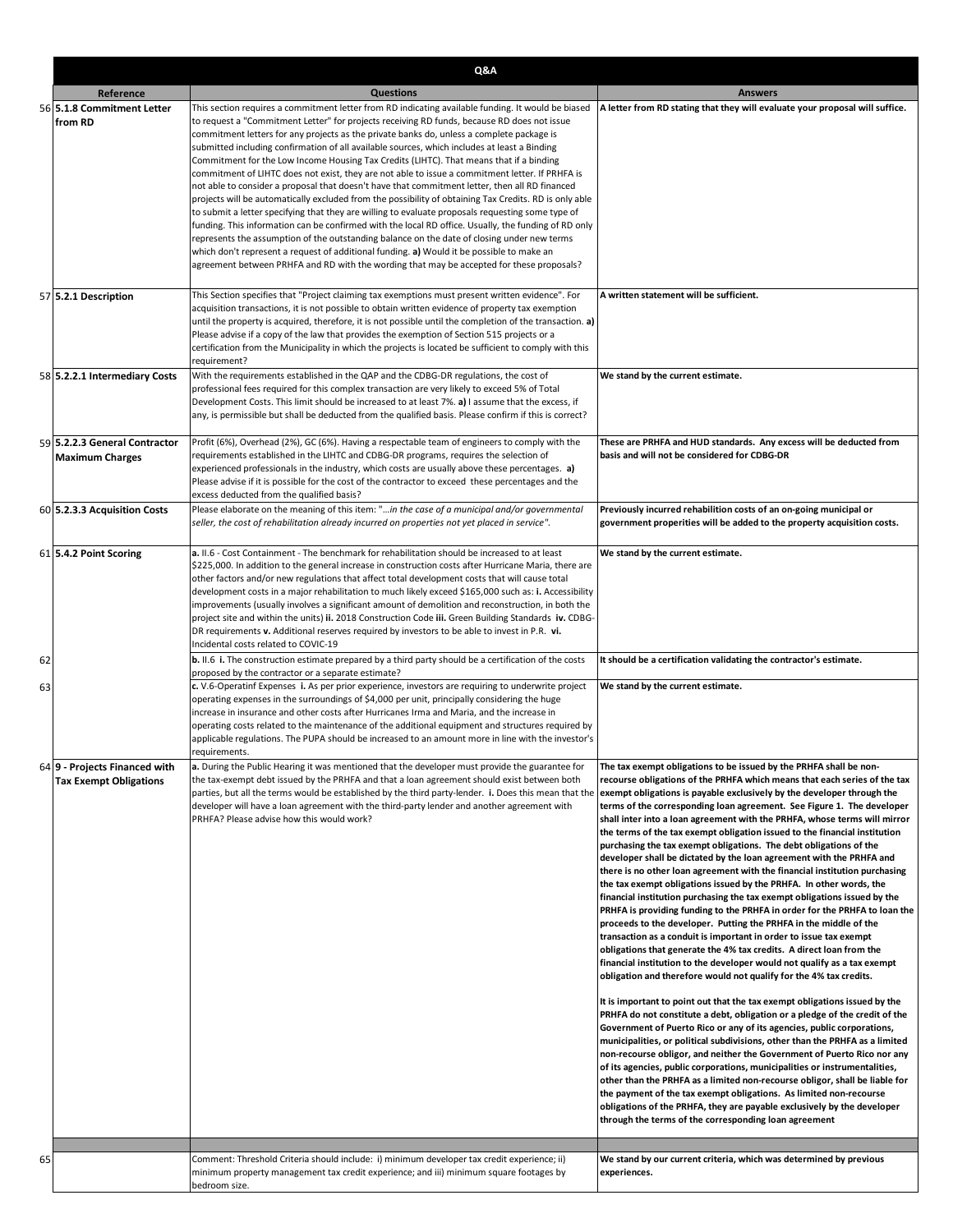|    |                                                                | Q&A                                                                                                                                                                                                                                                                                                                                                                                                                                                                                                                                                                                                                                                                                                                                                                                                                                                                                                                                                                                                                                                                                                                                                                                                                                                                                                            |                                                                                                                                                                                                                                                                                                                                                                                                                                                                                                                                                                                                                                                                                                                                                                                                                                                                                                                                                                                                                                                                                                                                                                                                                                                                                                                                                                                                                                                                                                                                                                                                                                                                                                                                                                                                                                                                                                                                                                                                                                                                            |
|----|----------------------------------------------------------------|----------------------------------------------------------------------------------------------------------------------------------------------------------------------------------------------------------------------------------------------------------------------------------------------------------------------------------------------------------------------------------------------------------------------------------------------------------------------------------------------------------------------------------------------------------------------------------------------------------------------------------------------------------------------------------------------------------------------------------------------------------------------------------------------------------------------------------------------------------------------------------------------------------------------------------------------------------------------------------------------------------------------------------------------------------------------------------------------------------------------------------------------------------------------------------------------------------------------------------------------------------------------------------------------------------------|----------------------------------------------------------------------------------------------------------------------------------------------------------------------------------------------------------------------------------------------------------------------------------------------------------------------------------------------------------------------------------------------------------------------------------------------------------------------------------------------------------------------------------------------------------------------------------------------------------------------------------------------------------------------------------------------------------------------------------------------------------------------------------------------------------------------------------------------------------------------------------------------------------------------------------------------------------------------------------------------------------------------------------------------------------------------------------------------------------------------------------------------------------------------------------------------------------------------------------------------------------------------------------------------------------------------------------------------------------------------------------------------------------------------------------------------------------------------------------------------------------------------------------------------------------------------------------------------------------------------------------------------------------------------------------------------------------------------------------------------------------------------------------------------------------------------------------------------------------------------------------------------------------------------------------------------------------------------------------------------------------------------------------------------------------------------------|
|    | Reference                                                      | <b>Questions</b>                                                                                                                                                                                                                                                                                                                                                                                                                                                                                                                                                                                                                                                                                                                                                                                                                                                                                                                                                                                                                                                                                                                                                                                                                                                                                               | <b>Answers</b>                                                                                                                                                                                                                                                                                                                                                                                                                                                                                                                                                                                                                                                                                                                                                                                                                                                                                                                                                                                                                                                                                                                                                                                                                                                                                                                                                                                                                                                                                                                                                                                                                                                                                                                                                                                                                                                                                                                                                                                                                                                             |
|    | 56 5.1.8 Commitment Letter<br>from RD                          | This section requires a commitment letter from RD indicating available funding. It would be biased<br>to request a "Commitment Letter" for projects receiving RD funds, because RD does not issue<br>commitment letters for any projects as the private banks do, unless a complete package is<br>submitted including confirmation of all available sources, which includes at least a Binding<br>Commitment for the Low Income Housing Tax Credits (LIHTC). That means that if a binding<br>commitment of LIHTC does not exist, they are not able to issue a commitment letter. If PRHFA is<br>not able to consider a proposal that doesn't have that commitment letter, then all RD financed<br>projects will be automatically excluded from the possibility of obtaining Tax Credits. RD is only able<br>to submit a letter specifying that they are willing to evaluate proposals requesting some type of<br>funding. This information can be confirmed with the local RD office. Usually, the funding of RD only<br>represents the assumption of the outstanding balance on the date of closing under new terms<br>which don't represent a request of additional funding. a) Would it be possible to make an<br>agreement between PRHFA and RD with the wording that may be accepted for these proposals? | A letter from RD stating that they will evaluate your proposal will suffice.                                                                                                                                                                                                                                                                                                                                                                                                                                                                                                                                                                                                                                                                                                                                                                                                                                                                                                                                                                                                                                                                                                                                                                                                                                                                                                                                                                                                                                                                                                                                                                                                                                                                                                                                                                                                                                                                                                                                                                                               |
|    | 57 5.2.1 Description                                           | This Section specifies that "Project claiming tax exemptions must present written evidence". For<br>acquisition transactions, it is not possible to obtain written evidence of property tax exemption<br>until the property is acquired, therefore, it is not possible until the completion of the transaction. a)<br>Please advise if a copy of the law that provides the exemption of Section 515 projects or a<br>certification from the Municipality in which the projects is located be sufficient to comply with this<br>requirement?                                                                                                                                                                                                                                                                                                                                                                                                                                                                                                                                                                                                                                                                                                                                                                    | A written statement will be sufficient.                                                                                                                                                                                                                                                                                                                                                                                                                                                                                                                                                                                                                                                                                                                                                                                                                                                                                                                                                                                                                                                                                                                                                                                                                                                                                                                                                                                                                                                                                                                                                                                                                                                                                                                                                                                                                                                                                                                                                                                                                                    |
|    | 58 5.2.2.1 Intermediary Costs                                  | With the requirements established in the QAP and the CDBG-DR regulations, the cost of<br>professional fees required for this complex transaction are very likely to exceed 5% of Total<br>Development Costs. This limit should be increased to at least 7%. a) I assume that the excess, if<br>any, is permissible but shall be deducted from the qualified basis. Please confirm if this is correct?                                                                                                                                                                                                                                                                                                                                                                                                                                                                                                                                                                                                                                                                                                                                                                                                                                                                                                          | We stand by the current estimate.                                                                                                                                                                                                                                                                                                                                                                                                                                                                                                                                                                                                                                                                                                                                                                                                                                                                                                                                                                                                                                                                                                                                                                                                                                                                                                                                                                                                                                                                                                                                                                                                                                                                                                                                                                                                                                                                                                                                                                                                                                          |
|    | 59 5.2.2.3 General Contractor<br><b>Maximum Charges</b>        | Profit (6%), Overhead (2%), GC (6%). Having a respectable team of engineers to comply with the<br>requirements established in the LIHTC and CDBG-DR programs, requires the selection of<br>experienced professionals in the industry, which costs are usually above these percentages. a)<br>Please advise if it is possible for the cost of the contractor to exceed these percentages and the<br>excess deducted from the qualified basis?                                                                                                                                                                                                                                                                                                                                                                                                                                                                                                                                                                                                                                                                                                                                                                                                                                                                   | These are PRHFA and HUD standards. Any excess will be deducted from<br>basis and will not be considered for CDBG-DR                                                                                                                                                                                                                                                                                                                                                                                                                                                                                                                                                                                                                                                                                                                                                                                                                                                                                                                                                                                                                                                                                                                                                                                                                                                                                                                                                                                                                                                                                                                                                                                                                                                                                                                                                                                                                                                                                                                                                        |
|    | 60 5.2.3.3 Acquisition Costs                                   | Please elaborate on the meaning of this item: "in the case of a municipal and/or governmental<br>seller, the cost of rehabilitation already incurred on properties not yet placed in service".                                                                                                                                                                                                                                                                                                                                                                                                                                                                                                                                                                                                                                                                                                                                                                                                                                                                                                                                                                                                                                                                                                                 | Previously incurred rehabilition costs of an on-going municipal or<br>government properities will be added to the property acquisition costs.                                                                                                                                                                                                                                                                                                                                                                                                                                                                                                                                                                                                                                                                                                                                                                                                                                                                                                                                                                                                                                                                                                                                                                                                                                                                                                                                                                                                                                                                                                                                                                                                                                                                                                                                                                                                                                                                                                                              |
|    | 61 5.4.2 Point Scoring                                         | a. II.6 - Cost Containment - The benchmark for rehabilitation should be increased to at least<br>\$225,000. In addition to the general increase in construction costs after Hurricane Maria, there are<br>other factors and/or new regulations that affect total development costs that will cause total<br>development costs in a major rehabilitation to much likely exceed \$165,000 such as: i. Accessibility<br>improvements (usually involves a significant amount of demolition and reconstruction, in both the<br>project site and within the units) ii. 2018 Construction Code iii. Green Building Standards iv. CDBG-<br>DR requirements v. Additional reserves required by investors to be able to invest in P.R. vi.<br>Incidental costs related to COVIC-19                                                                                                                                                                                                                                                                                                                                                                                                                                                                                                                                       | We stand by the current estimate.                                                                                                                                                                                                                                                                                                                                                                                                                                                                                                                                                                                                                                                                                                                                                                                                                                                                                                                                                                                                                                                                                                                                                                                                                                                                                                                                                                                                                                                                                                                                                                                                                                                                                                                                                                                                                                                                                                                                                                                                                                          |
| 62 |                                                                | <b>b.</b> II.6 i. The construction estimate prepared by a third party should be a certification of the costs<br>proposed by the contractor or a separate estimate?                                                                                                                                                                                                                                                                                                                                                                                                                                                                                                                                                                                                                                                                                                                                                                                                                                                                                                                                                                                                                                                                                                                                             | It should be a certification validating the contractor's estimate.                                                                                                                                                                                                                                                                                                                                                                                                                                                                                                                                                                                                                                                                                                                                                                                                                                                                                                                                                                                                                                                                                                                                                                                                                                                                                                                                                                                                                                                                                                                                                                                                                                                                                                                                                                                                                                                                                                                                                                                                         |
| 63 |                                                                | c. V.6-Operatinf Expenses i. As per prior experience, investors are requiring to underwrite project<br>operating expenses in the surroundings of \$4,000 per unit, principally considering the huge<br>increase in insurance and other costs after Hurricanes Irma and Maria, and the increase in<br>operating costs related to the maintenance of the additional equipment and structures required by<br>applicable regulations. The PUPA should be increased to an amount more in line with the investor's<br>requirements.                                                                                                                                                                                                                                                                                                                                                                                                                                                                                                                                                                                                                                                                                                                                                                                  | We stand by the current estimate.                                                                                                                                                                                                                                                                                                                                                                                                                                                                                                                                                                                                                                                                                                                                                                                                                                                                                                                                                                                                                                                                                                                                                                                                                                                                                                                                                                                                                                                                                                                                                                                                                                                                                                                                                                                                                                                                                                                                                                                                                                          |
|    | 64 9 - Projects Financed with<br><b>Tax Exempt Obligations</b> | a. During the Public Hearing it was mentioned that the developer must provide the guarantee for<br>the tax-exempt debt issued by the PRHFA and that a loan agreement should exist between both<br>parties, but all the terms would be established by the third party-lender. i. Does this mean that the<br>developer will have a loan agreement with the third-party lender and another agreement with<br>PRHFA? Please advise how this would work?                                                                                                                                                                                                                                                                                                                                                                                                                                                                                                                                                                                                                                                                                                                                                                                                                                                            | The tax exempt obligations to be issued by the PRHFA shall be non-<br>recourse obligations of the PRHFA which means that each series of the tax<br>exempt obligations is payable exclusively by the developer through the<br>terms of the corresponding loan agreement. See Figure 1. The developer<br>shall inter into a loan agreement with the PRHFA, whose terms will mirror<br>the terms of the tax exempt obligation issued to the financial institution<br>purchasing the tax exempt obligations. The debt obligations of the<br>developer shall be dictated by the loan agreement with the PRHFA and<br>there is no other loan agreement with the financial institution purchasing<br>the tax exempt obligations issued by the PRHFA. In other words, the<br>financial institution purchasing the tax exempt obligations issued by the<br>PRHFA is providing funding to the PRHFA in order for the PRHFA to loan the<br>proceeds to the developer. Putting the PRHFA in the middle of the<br>transaction as a conduit is important in order to issue tax exempt<br>obligations that generate the 4% tax credits. A direct loan from the<br>financial institution to the developer would not qualify as a tax exempt<br>obligation and therefore would not qualify for the 4% tax credits.<br>It is important to point out that the tax exempt obligations issued by the<br>PRHFA do not constitute a debt, obligation or a pledge of the credit of the<br>Government of Puerto Rico or any of its agencies, public corporations,<br>municipalities, or political subdivisions, other than the PRHFA as a limited<br>non-recourse obligor, and neither the Government of Puerto Rico nor any<br>of its agencies, public corporations, municipalities or instrumentalities,<br>other than the PRHFA as a limited non-recourse obligor, shall be liable for<br>the payment of the tax exempt obligations. As limited non-recourse<br>obligations of the PRHFA, they are payable exclusively by the developer<br>through the terms of the corresponding loan agreement |
| 65 |                                                                | Comment: Threshold Criteria should include: i) minimum developer tax credit experience; ii)<br>minimum property management tax credit experience; and iii) minimum square footages by                                                                                                                                                                                                                                                                                                                                                                                                                                                                                                                                                                                                                                                                                                                                                                                                                                                                                                                                                                                                                                                                                                                          | We stand by our current criteria, which was determined by previous<br>experiences.                                                                                                                                                                                                                                                                                                                                                                                                                                                                                                                                                                                                                                                                                                                                                                                                                                                                                                                                                                                                                                                                                                                                                                                                                                                                                                                                                                                                                                                                                                                                                                                                                                                                                                                                                                                                                                                                                                                                                                                         |
|    |                                                                | bedroom size.                                                                                                                                                                                                                                                                                                                                                                                                                                                                                                                                                                                                                                                                                                                                                                                                                                                                                                                                                                                                                                                                                                                                                                                                                                                                                                  |                                                                                                                                                                                                                                                                                                                                                                                                                                                                                                                                                                                                                                                                                                                                                                                                                                                                                                                                                                                                                                                                                                                                                                                                                                                                                                                                                                                                                                                                                                                                                                                                                                                                                                                                                                                                                                                                                                                                                                                                                                                                            |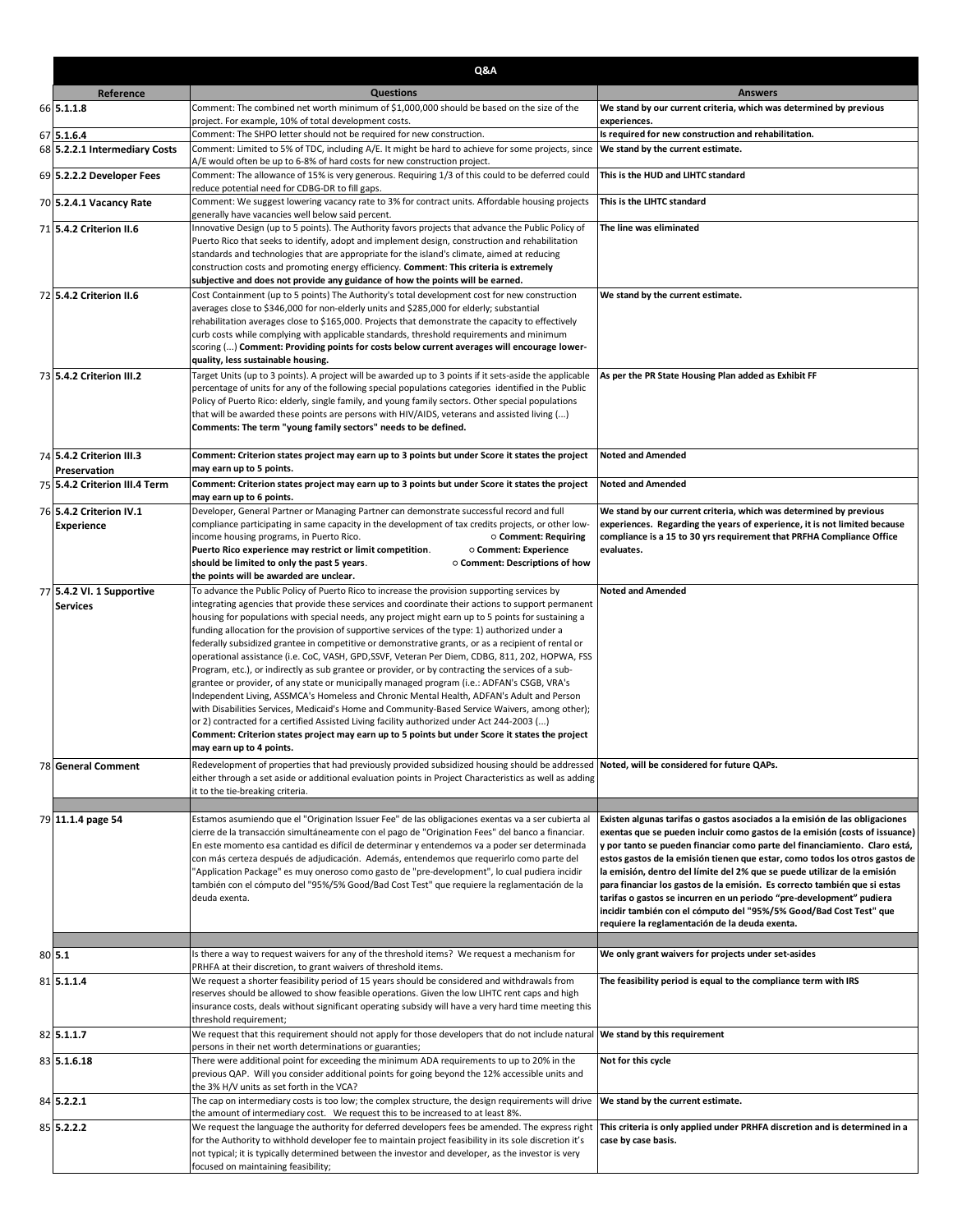| Q&A                                      |                                                                                                                                                                                                                                                       |                                                                                                                                                           |
|------------------------------------------|-------------------------------------------------------------------------------------------------------------------------------------------------------------------------------------------------------------------------------------------------------|-----------------------------------------------------------------------------------------------------------------------------------------------------------|
| Reference                                | <b>Questions</b>                                                                                                                                                                                                                                      | <b>Answers</b>                                                                                                                                            |
| 66 5.1.1.8                               | Comment: The combined net worth minimum of \$1,000,000 should be based on the size of the<br>project. For example, 10% of total development costs.                                                                                                    | We stand by our current criteria, which was determined by previous<br>experiences.                                                                        |
| 67 5.1.6.4                               | Comment: The SHPO letter should not be required for new construction.                                                                                                                                                                                 | Is required for new construction and rehabilitation.                                                                                                      |
| 68 5.2.2.1 Intermediary Costs            | Comment: Limited to 5% of TDC, including A/E. It might be hard to achieve for some projects, since<br>A/E would often be up to 6-8% of hard costs for new construction project.                                                                       | We stand by the current estimate.                                                                                                                         |
| 69 5.2.2.2 Developer Fees                | Comment: The allowance of 15% is very generous. Requiring 1/3 of this could to be deferred could<br>reduce potential need for CDBG-DR to fill gaps.                                                                                                   | This is the HUD and LIHTC standard                                                                                                                        |
| 70 5.2.4.1 Vacancy Rate                  | Comment: We suggest lowering vacancy rate to 3% for contract units. Affordable housing projects<br>generally have vacancies well below said percent.                                                                                                  | This is the LIHTC standard                                                                                                                                |
| 71 5.4.2 Criterion II.6                  | Innovative Design (up to 5 points). The Authority favors projects that advance the Public Policy of                                                                                                                                                   | The line was eliminated                                                                                                                                   |
|                                          | Puerto Rico that seeks to identify, adopt and implement design, construction and rehabilitation                                                                                                                                                       |                                                                                                                                                           |
|                                          | standards and technologies that are appropriate for the island's climate, aimed at reducing<br>construction costs and promoting energy efficiency. Comment: This criteria is extremely                                                                |                                                                                                                                                           |
|                                          | subjective and does not provide any guidance of how the points will be earned.                                                                                                                                                                        |                                                                                                                                                           |
| 72 5.4.2 Criterion II.6                  | Cost Containment (up to 5 points) The Authority's total development cost for new construction                                                                                                                                                         | We stand by the current estimate.                                                                                                                         |
|                                          | averages close to \$346,000 for non-elderly units and \$285,000 for elderly; substantial                                                                                                                                                              |                                                                                                                                                           |
|                                          | rehabilitation averages close to \$165,000. Projects that demonstrate the capacity to effectively                                                                                                                                                     |                                                                                                                                                           |
|                                          | curb costs while complying with applicable standards, threshold requirements and minimum<br>scoring () Comment: Providing points for costs below current averages will encourage lower-                                                               |                                                                                                                                                           |
|                                          | quality, less sustainable housing.                                                                                                                                                                                                                    |                                                                                                                                                           |
| 73 5.4.2 Criterion III.2                 | Target Units (up to 3 points). A project will be awarded up to 3 points if it sets-aside the applicable                                                                                                                                               | As per the PR State Housing Plan added as Exhibit FF                                                                                                      |
|                                          | percentage of units for any of the following special populations categories identified in the Public                                                                                                                                                  |                                                                                                                                                           |
|                                          | Policy of Puerto Rico: elderly, single family, and young family sectors. Other special populations<br>that will be awarded these points are persons with HIV/AIDS, veterans and assisted living ()                                                    |                                                                                                                                                           |
|                                          | Comments: The term "young family sectors" needs to be defined.                                                                                                                                                                                        |                                                                                                                                                           |
|                                          |                                                                                                                                                                                                                                                       |                                                                                                                                                           |
| 74 5.4.2 Criterion III.3<br>Preservation | Comment: Criterion states project may earn up to 3 points but under Score it states the project<br>may earn up to 5 points.                                                                                                                           | <b>Noted and Amended</b>                                                                                                                                  |
| 75 5.4.2 Criterion III.4 Term            | Comment: Criterion states project may earn up to 3 points but under Score it states the project                                                                                                                                                       | <b>Noted and Amended</b>                                                                                                                                  |
| 76 5.4.2 Criterion IV.1                  | may earn up to 6 points.<br>Developer, General Partner or Managing Partner can demonstrate successful record and full                                                                                                                                 | We stand by our current criteria, which was determined by previous                                                                                        |
| <b>Experience</b>                        | compliance participating in same capacity in the development of tax credits projects, or other low-                                                                                                                                                   | experiences. Regarding the years of experience, it is not limited because                                                                                 |
|                                          | income housing programs, in Puerto Rico.<br>○ Comment: Requiring                                                                                                                                                                                      | compliance is a 15 to 30 yrs requirement that PRFHA Compliance Office                                                                                     |
|                                          | Puerto Rico experience may restrict or limit competition.<br>O Comment: Experience                                                                                                                                                                    | evaluates.                                                                                                                                                |
|                                          | should be limited to only the past 5 years.<br>○ Comment: Descriptions of how<br>the points will be awarded are unclear.                                                                                                                              |                                                                                                                                                           |
| 77 5.4.2 VI. 1 Supportive                | To advance the Public Policy of Puerto Rico to increase the provision supporting services by                                                                                                                                                          | <b>Noted and Amended</b>                                                                                                                                  |
| <b>Services</b>                          | integrating agencies that provide these services and coordinate their actions to support permanent                                                                                                                                                    |                                                                                                                                                           |
|                                          | housing for populations with special needs, any project might earn up to 5 points for sustaining a                                                                                                                                                    |                                                                                                                                                           |
|                                          | funding allocation for the provision of supportive services of the type: 1) authorized under a<br>federally subsidized grantee in competitive or demonstrative grants, or as a recipient of rental or                                                 |                                                                                                                                                           |
|                                          | operational assistance (i.e. CoC, VASH, GPD,SSVF, Veteran Per Diem, CDBG, 811, 202, HOPWA, FSS                                                                                                                                                        |                                                                                                                                                           |
|                                          | Program, etc.), or indirectly as sub grantee or provider, or by contracting the services of a sub-                                                                                                                                                    |                                                                                                                                                           |
|                                          | grantee or provider, of any state or municipally managed program (i.e.: ADFAN's CSGB, VRA's<br>Independent Living, ASSMCA's Homeless and Chronic Mental Health, ADFAN's Adult and Person                                                              |                                                                                                                                                           |
|                                          | with Disabilities Services, Medicaid's Home and Community-Based Service Waivers, among other);                                                                                                                                                        |                                                                                                                                                           |
|                                          | or 2) contracted for a certified Assisted Living facility authorized under Act 244-2003 ()                                                                                                                                                            |                                                                                                                                                           |
|                                          | Comment: Criterion states project may earn up to 5 points but under Score it states the project                                                                                                                                                       |                                                                                                                                                           |
|                                          | may earn up to 4 points.                                                                                                                                                                                                                              |                                                                                                                                                           |
| 78 General Comment                       | Redevelopment of properties that had previously provided subsidized housing should be addressed Noted, will be considered for future QAPs.<br>either through a set aside or additional evaluation points in Project Characteristics as well as adding |                                                                                                                                                           |
|                                          | it to the tie-breaking criteria.                                                                                                                                                                                                                      |                                                                                                                                                           |
|                                          |                                                                                                                                                                                                                                                       |                                                                                                                                                           |
| 79 11.1.4 page 54                        | Estamos asumiendo que el "Origination Issuer Fee" de las obligaciones exentas va a ser cubierta al                                                                                                                                                    | Existen algunas tarifas o gastos asociados a la emisión de las obligaciones                                                                               |
|                                          | cierre de la transacción simultáneamente con el pago de "Origination Fees" del banco a financiar.<br>En este momento esa cantidad es difícil de determinar y entendemos va a poder ser determinada                                                    | exentas que se pueden incluir como gastos de la emisión (costs of issuance)<br>y por tanto se pueden financiar como parte del financiamiento. Claro está, |
|                                          | con más certeza después de adjudicación. Además, entendemos que requerirlo como parte del                                                                                                                                                             | estos gastos de la emisión tienen que estar, como todos los otros gastos de                                                                               |
|                                          | "Application Package" es muy oneroso como gasto de "pre-development", lo cual pudiera incidir                                                                                                                                                         | la emisión, dentro del límite del 2% que se puede utilizar de la emisión                                                                                  |
|                                          | también con el cómputo del "95%/5% Good/Bad Cost Test" que requiere la reglamentación de la                                                                                                                                                           | para financiar los gastos de la emisión. Es correcto también que si estas                                                                                 |
|                                          | deuda exenta.                                                                                                                                                                                                                                         | tarifas o gastos se incurren en un periodo "pre-development" pudiera<br>incidir también con el cómputo del "95%/5% Good/Bad Cost Test" que                |
|                                          |                                                                                                                                                                                                                                                       | requiere la reglamentación de la deuda exenta.                                                                                                            |
|                                          |                                                                                                                                                                                                                                                       |                                                                                                                                                           |
| 80 5.1                                   | Is there a way to request waivers for any of the threshold items? We request a mechanism for<br>PRHFA at their discretion, to grant waivers of threshold items.                                                                                       | We only grant waivers for projects under set-asides                                                                                                       |
| 81 5.1.1.4                               | We request a shorter feasibility period of 15 years should be considered and withdrawals from                                                                                                                                                         | The feasibility period is equal to the compliance term with IRS                                                                                           |
|                                          | reserves should be allowed to show feasible operations. Given the low LIHTC rent caps and high                                                                                                                                                        |                                                                                                                                                           |
|                                          | insurance costs, deals without significant operating subsidy will have a very hard time meeting this                                                                                                                                                  |                                                                                                                                                           |
| 82 5.1.1.7                               | threshold requirement;<br>We request that this requirement should not apply for those developers that do not include natural                                                                                                                          | We stand by this requirement                                                                                                                              |
| 83 5.1.6.18                              | persons in their net worth determinations or guaranties;<br>There were additional point for exceeding the minimum ADA requirements to up to 20% in the                                                                                                | Not for this cycle                                                                                                                                        |
|                                          | previous QAP. Will you consider additional points for going beyond the 12% accessible units and                                                                                                                                                       |                                                                                                                                                           |
| 84 5.2.2.1                               | the 3% H/V units as set forth in the VCA?<br>The cap on intermediary costs is too low; the complex structure, the design requirements will drive                                                                                                      | We stand by the current estimate.                                                                                                                         |
|                                          | the amount of intermediary cost. We request this to be increased to at least 8%.                                                                                                                                                                      |                                                                                                                                                           |
| 85 5.2.2.2                               | We request the language the authority for deferred developers fees be amended. The express right                                                                                                                                                      | This criteria is only applied under PRHFA discretion and is determined in a<br>case by case basis.                                                        |
|                                          | for the Authority to withhold developer fee to maintain project feasibility in its sole discretion it's<br>not typical; it is typically determined between the investor and developer, as the investor is very                                        |                                                                                                                                                           |
|                                          | focused on maintaining feasibility;                                                                                                                                                                                                                   |                                                                                                                                                           |